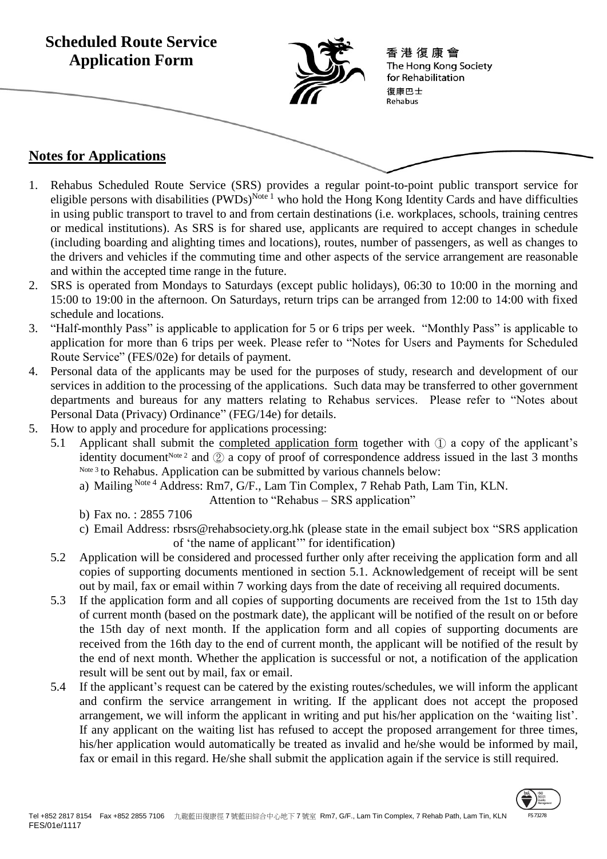

- 1. Rehabus Scheduled Route Service (SRS) provides a regular point-to-point public transport service for eligible persons with disabilities (PWDs)<sup>Note 1</sup> who hold the Hong Kong Identity Cards and have difficulties in using public transport to travel to and from certain destinations (i.e. workplaces, schools, training centres or medical institutions). As SRS is for shared use, applicants are required to accept changes in schedule (including boarding and alighting times and locations), routes, number of passengers, as well as changes to the drivers and vehicles if the commuting time and other aspects of the service arrangement are reasonable and within the accepted time range in the future.
- 2. SRS is operated from Mondays to Saturdays (except public holidays), 06:30 to 10:00 in the morning and 15:00 to 19:00 in the afternoon. On Saturdays, return trips can be arranged from 12:00 to 14:00 with fixed schedule and locations.
- 3. "Half-monthly Pass" is applicable to application for 5 or 6 trips per week. "Monthly Pass" is applicable to application for more than 6 trips per week. Please refer to "Notes for Users and Payments for Scheduled Route Service" (FES/02e) for details of payment.
- 4. Personal data of the applicants may be used for the purposes of study, research and development of our services in addition to the processing of the applications. Such data may be transferred to other government departments and bureaus for any matters relating to Rehabus services. Please refer to "Notes about Personal Data (Privacy) Ordinance" (FEG/14e) for details.
- 5. How to apply and procedure for applications processing:
	- 5.1 Applicant shall submit the completed application form together with ① a copy of the applicant's identity document<sup>Note 2</sup> and  $\circled{2}$  a copy of proof of correspondence address issued in the last 3 months Note<sup>3</sup> to Rehabus. Application can be submitted by various channels below:
		- a) Mailing Note 4 Address: Rm7, G/F., Lam Tin Complex, 7 Rehab Path, Lam Tin, KLN.
			- Attention to "Rehabus SRS application"
		- b) Fax no. : 2855 7106
		- c) Email Address: rbsrs@rehabsociety.org.hk (please state in the email subject box "SRS application of 'the name of applicant'" for identification)
	- 5.2 Application will be considered and processed further only after receiving the application form and all copies of supporting documents mentioned in section 5.1. Acknowledgement of receipt will be sent out by mail, fax or email within 7 working days from the date of receiving all required documents.
	- 5.3 If the application form and all copies of supporting documents are received from the 1st to 15th day of current month (based on the postmark date), the applicant will be notified of the result on or before the 15th day of next month. If the application form and all copies of supporting documents are received from the 16th day to the end of current month, the applicant will be notified of the result by the end of next month. Whether the application is successful or not, a notification of the application result will be sent out by mail, fax or email.
	- 5.4 If the applicant's request can be catered by the existing routes/schedules, we will inform the applicant and confirm the service arrangement in writing. If the applicant does not accept the proposed arrangement, we will inform the applicant in writing and put his/her application on the 'waiting list'. If any applicant on the waiting list has refused to accept the proposed arrangement for three times, his/her application would automatically be treated as invalid and he/she would be informed by mail, fax or email in this regard. He/she shall submit the application again if the service is still required.

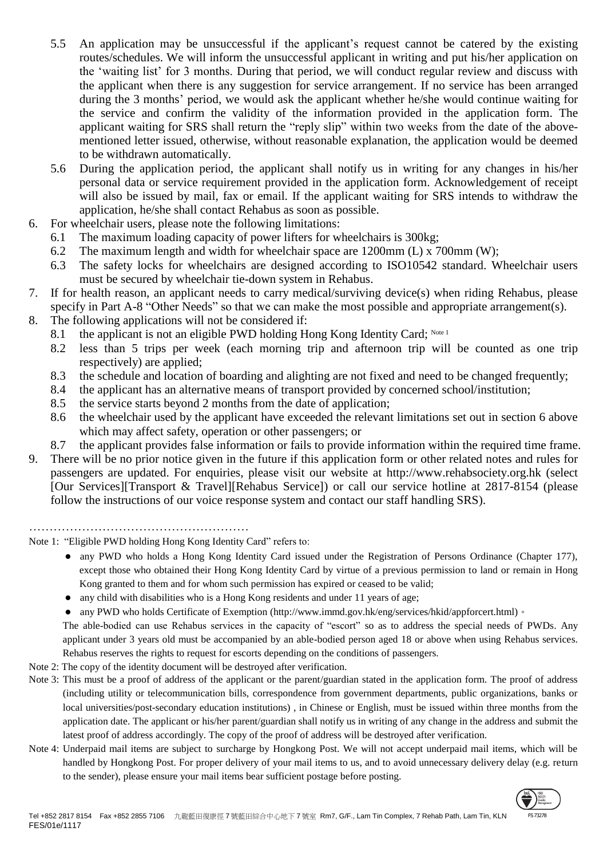- 5.5 An application may be unsuccessful if the applicant's request cannot be catered by the existing routes/schedules. We will inform the unsuccessful applicant in writing and put his/her application on the 'waiting list' for 3 months. During that period, we will conduct regular review and discuss with the applicant when there is any suggestion for service arrangement. If no service has been arranged during the 3 months' period, we would ask the applicant whether he/she would continue waiting for the service and confirm the validity of the information provided in the application form. The applicant waiting for SRS shall return the "reply slip" within two weeks from the date of the abovementioned letter issued, otherwise, without reasonable explanation, the application would be deemed to be withdrawn automatically.
- 5.6 During the application period, the applicant shall notify us in writing for any changes in his/her personal data or service requirement provided in the application form. Acknowledgement of receipt will also be issued by mail, fax or email. If the applicant waiting for SRS intends to withdraw the application, he/she shall contact Rehabus as soon as possible.
- 6. For wheelchair users, please note the following limitations:
	- 6.1 The maximum loading capacity of power lifters for wheelchairs is 300kg;
	- 6.2 The maximum length and width for wheelchair space are 1200mm (L) x 700mm (W);
	- 6.3 The safety locks for wheelchairs are designed according to ISO10542 standard. Wheelchair users must be secured by wheelchair tie-down system in Rehabus.
- 7. If for health reason, an applicant needs to carry medical/surviving device(s) when riding Rehabus, please specify in Part A-8 "Other Needs" so that we can make the most possible and appropriate arrangement(s).
- 8. The following applications will not be considered if:
	- 8.1 the applicant is not an eligible PWD holding Hong Kong Identity Card; Note 1
		- 8.2 less than 5 trips per week (each morning trip and afternoon trip will be counted as one trip respectively) are applied;
		- 8.3 the schedule and location of boarding and alighting are not fixed and need to be changed frequently;
		- 8.4 the applicant has an alternative means of transport provided by concerned school/institution;
		- 8.5 the service starts beyond 2 months from the date of application;
		- 8.6 the wheelchair used by the applicant have exceeded the relevant limitations set out in section 6 above which may affect safety, operation or other passengers; or
	- 8.7 the applicant provides false information or fails to provide information within the required time frame.
- 9. There will be no prior notice given in the future if this application form or other related notes and rules for passengers are updated. For enquiries, please visit our website at http://www.rehabsociety.org.hk (select [Our Services][Transport & Travel][Rehabus Service]) or call our service hotline at 2817-8154 (please follow the instructions of our voice response system and contact our staff handling SRS).

………………………………………………

Note 1: "Eligible PWD holding Hong Kong Identity Card" refers to:

- any PWD who holds a Hong Kong Identity Card issued under the Registration of Persons Ordinance (Chapter 177), except those who obtained their Hong Kong Identity Card by virtue of a previous permission to land or remain in Hong Kong granted to them and for whom such permission has expired or ceased to be valid;
- any child with disabilities who is a Hong Kong residents and under 11 years of age;
- any PWD who holds Certificate of Exemption (http://www.immd.gov.hk/eng/services/hkid/appforcert.html)。

The able-bodied can use Rehabus services in the capacity of "escort" so as to address the special needs of PWDs. Any applicant under 3 years old must be accompanied by an able-bodied person aged 18 or above when using Rehabus services. Rehabus reserves the rights to request for escorts depending on the conditions of passengers.

- Note 2: The copy of the identity document will be destroyed after verification.
- Note 3: This must be a proof of address of the applicant or the parent/guardian stated in the application form. The proof of address (including utility or telecommunication bills, correspondence from government departments, public organizations, banks or local universities/post-secondary education institutions) , in Chinese or English, must be issued within three months from the application date. The applicant or his/her parent/guardian shall notify us in writing of any change in the address and submit the latest proof of address accordingly. The copy of the proof of address will be destroyed after verification.
- Note 4: Underpaid mail items are subject to surcharge by Hongkong Post. We will not accept underpaid mail items, which will be handled by Hongkong Post. For proper delivery of your mail items to us, and to avoid unnecessary delivery delay (e.g. return to the sender), please ensure your mail items bear sufficient postage before posting.

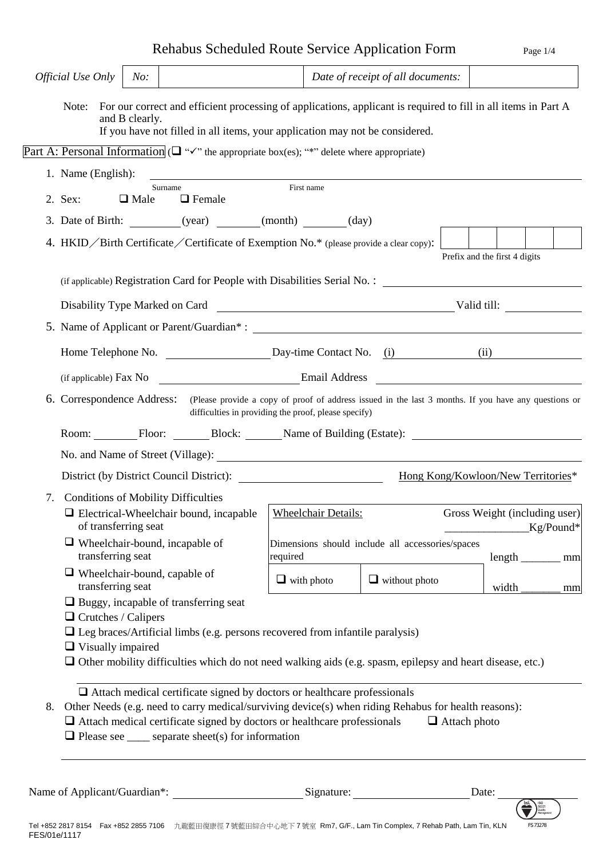# Rehabus Scheduled Route Service Application Form Page 1/4

|    | Official Use Only                                                                                                                                                                                                                                                                                             | No:            |                                                                                                                                                                                                                                 |                                                              | Date of receipt of all documents:                                                                                           |                                    |    |  |  |
|----|---------------------------------------------------------------------------------------------------------------------------------------------------------------------------------------------------------------------------------------------------------------------------------------------------------------|----------------|---------------------------------------------------------------------------------------------------------------------------------------------------------------------------------------------------------------------------------|--------------------------------------------------------------|-----------------------------------------------------------------------------------------------------------------------------|------------------------------------|----|--|--|
|    |                                                                                                                                                                                                                                                                                                               | and B clearly. | If you have not filled in all items, your application may not be considered.                                                                                                                                                    |                                                              | Note: For our correct and efficient processing of applications, applicant is required to fill in all items in Part A        |                                    |    |  |  |
|    |                                                                                                                                                                                                                                                                                                               |                | Part A: Personal Information ( $\Box$ " $\checkmark$ " the appropriate box(es); "*" delete where appropriate)                                                                                                                   |                                                              |                                                                                                                             |                                    |    |  |  |
|    | 1. Name (English):                                                                                                                                                                                                                                                                                            |                |                                                                                                                                                                                                                                 |                                                              |                                                                                                                             |                                    |    |  |  |
|    | 2. Sex:                                                                                                                                                                                                                                                                                                       | $\Box$ Male    | Surname<br>$\Box$ Female                                                                                                                                                                                                        | First name                                                   |                                                                                                                             |                                    |    |  |  |
|    |                                                                                                                                                                                                                                                                                                               |                | 3. Date of Birth: __________(year) _______(month) ______(day)                                                                                                                                                                   |                                                              |                                                                                                                             |                                    |    |  |  |
|    |                                                                                                                                                                                                                                                                                                               |                | 4. HKID / Birth Certificate / Certificate of Exemption No.* (please provide a clear copy):                                                                                                                                      |                                                              |                                                                                                                             |                                    |    |  |  |
|    |                                                                                                                                                                                                                                                                                                               |                |                                                                                                                                                                                                                                 |                                                              |                                                                                                                             | Prefix and the first 4 digits      |    |  |  |
|    |                                                                                                                                                                                                                                                                                                               |                |                                                                                                                                                                                                                                 |                                                              | (if applicable) Registration Card for People with Disabilities Serial No.:                                                  |                                    |    |  |  |
|    |                                                                                                                                                                                                                                                                                                               |                |                                                                                                                                                                                                                                 |                                                              |                                                                                                                             |                                    |    |  |  |
|    |                                                                                                                                                                                                                                                                                                               |                |                                                                                                                                                                                                                                 |                                                              |                                                                                                                             |                                    |    |  |  |
|    |                                                                                                                                                                                                                                                                                                               |                |                                                                                                                                                                                                                                 |                                                              |                                                                                                                             |                                    |    |  |  |
|    |                                                                                                                                                                                                                                                                                                               |                |                                                                                                                                                                                                                                 |                                                              | (if applicable) Fax No <b>Example 2</b> Email Address                                                                       |                                    |    |  |  |
|    | 6. Correspondence Address: (Please provide a copy of proof of address issued in the last 3 months. If you have any questions or<br>difficulties in providing the proof, please specify)                                                                                                                       |                |                                                                                                                                                                                                                                 |                                                              |                                                                                                                             |                                    |    |  |  |
|    |                                                                                                                                                                                                                                                                                                               |                |                                                                                                                                                                                                                                 |                                                              | Room: Floor: Block: Name of Building (Estate):                                                                              |                                    |    |  |  |
|    |                                                                                                                                                                                                                                                                                                               |                |                                                                                                                                                                                                                                 |                                                              |                                                                                                                             |                                    |    |  |  |
|    |                                                                                                                                                                                                                                                                                                               |                | District (by District Council District):                                                                                                                                                                                        |                                                              |                                                                                                                             | Hong Kong/Kowloon/New Territories* |    |  |  |
| 7. | <b>Conditions of Mobility Difficulties</b>                                                                                                                                                                                                                                                                    |                |                                                                                                                                                                                                                                 |                                                              |                                                                                                                             |                                    |    |  |  |
|    | □ Electrical-Wheelchair bound, incapable   Wheelchair Details:<br>of transferring seat                                                                                                                                                                                                                        |                |                                                                                                                                                                                                                                 | Gross Weight (including user)<br>$Kg/Pound*$                 |                                                                                                                             |                                    |    |  |  |
|    | transferring seat                                                                                                                                                                                                                                                                                             |                | $\Box$ Wheelchair-bound, incapable of                                                                                                                                                                                           | Dimensions should include all accessories/spaces<br>required | $length$ <sub>__________</sub> mm                                                                                           |                                    |    |  |  |
|    | $\Box$ Wheelchair-bound, capable of<br>transferring seat                                                                                                                                                                                                                                                      |                |                                                                                                                                                                                                                                 | $\Box$ with photo                                            | $\Box$ without photo                                                                                                        | width                              | mm |  |  |
|    | $\Box$ Buggy, incapable of transferring seat<br>$\Box$ Crutches / Calipers<br>$\Box$ Leg braces/Artificial limbs (e.g. persons recovered from infantile paralysis)<br>$\Box$ Visually impaired<br>□ Other mobility difficulties which do not need walking aids (e.g. spasm, epilepsy and heart disease, etc.) |                |                                                                                                                                                                                                                                 |                                                              |                                                                                                                             |                                    |    |  |  |
| 8. |                                                                                                                                                                                                                                                                                                               |                | $\Box$ Attach medical certificate signed by doctors or healthcare professionals<br>$\Box$ Attach medical certificate signed by doctors or healthcare professionals<br>$\Box$ Please see _____ separate sheet(s) for information |                                                              | Other Needs (e.g. need to carry medical/surviving device(s) when riding Rehabus for health reasons):<br>$\Box$ Attach photo |                                    |    |  |  |
|    |                                                                                                                                                                                                                                                                                                               |                | Name of Applicant/Guardian*: Signature: Signature:                                                                                                                                                                              |                                                              |                                                                                                                             | Date:                              |    |  |  |

FS 73278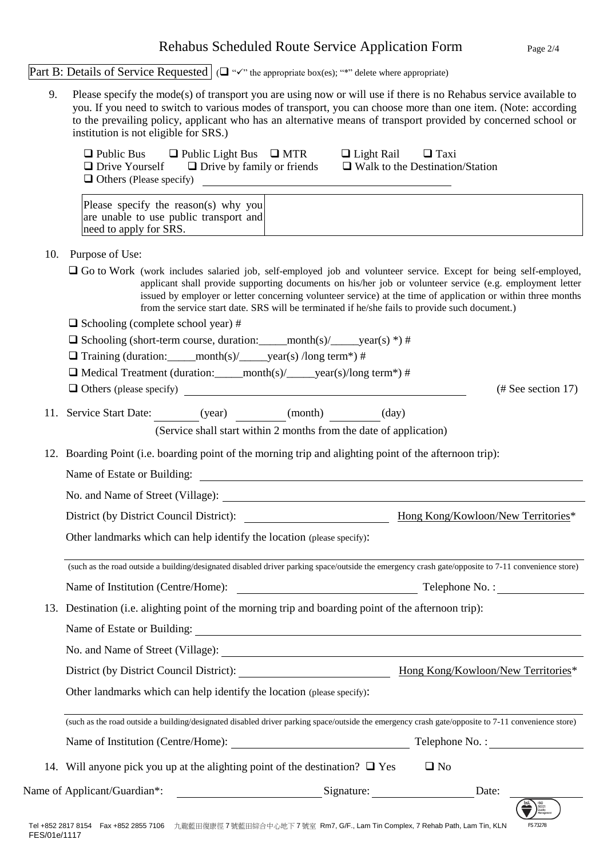### Rehabus Scheduled Route Service Application Form Page 2/4

Part B: Details of Service Requested  $\Box$  " $\checkmark$ " the appropriate box(es); "\*" delete where appropriate)

9. Please specify the mode(s) of transport you are using now or will use if there is no Rehabus service available to you. If you need to switch to various modes of transport, you can choose more than one item. (Note: according to the prevailing policy, applicant who has an alternative means of transport provided by concerned school or institution is not eligible for SRS.)

| $\Box$ Public Bus              | $\Box$ Public Light Bus $\Box$ MTR | $\Box$ Light Rail<br>$\Box$ Taxi       |
|--------------------------------|------------------------------------|----------------------------------------|
| $\Box$ Drive Yourself          | $\Box$ Drive by family or friends  | $\Box$ Walk to the Destination/Station |
| $\Box$ Others (Please specify) |                                    |                                        |

Please specify the reason(s) why you are unable to use public transport and need to apply for SRS.

10. Purpose of Use:

- Go to Work (work includes salaried job, self-employed job and volunteer service. Except for being self-employed, applicant shall provide supporting documents on his/her job or volunteer service (e.g. employment letter issued by employer or letter concerning volunteer service) at the time of application or within three months from the service start date. SRS will be terminated if he/she fails to provide such document.)
- $\Box$  Schooling (complete school year) #
- $\Box$  Schooling (short-term course, duration: \_\_\_\_\_month(s)/\_\_\_\_\_year(s) \*) #
- $\Box$  Training (duration: \_\_\_\_\_month(s)/\_\_\_\_year(s) /long term\*) #

 $\Box$  Medical Treatment (duration: \_\_\_\_\_month(s)/\_\_\_\_\_year(s)/long term\*) #

- $\Box$  Others (please specify) (# See section 17)
- 11. Service Start Date: (year) (month) (day) (Service shall start within 2 months from the date of application)
- 12. Boarding Point (i.e. boarding point of the morning trip and alighting point of the afternoon trip):

Name of Estate or Building:

No. and Name of Street (Village):

District (by District Council District): Hong Kong/Kowloon/New Territories\*

Other landmarks which can help identify the location (please specify):

(such as the road outside a building/designated disabled driver parking space/outside the emergency crash gate/opposite to 7-11 convenience store) Name of Institution (Centre/Home): Telephone No. :

13. Destination (i.e. alighting point of the morning trip and boarding point of the afternoon trip):

Name of Estate or Building:

No. and Name of Street (Village):

District (by District Council District): Hong Kong/Kowloon/New Territories\*

Other landmarks which can help identify the location (please specify):

(such as the road outside a building/designated disabled driver parking space/outside the emergency crash gate/opposite to 7-11 convenience store) Name of Institution (Centre/Home): Telephone No. :

14. Will anyone pick you up at the alighting point of the destination?  $\Box$  Yes  $\Box$  No

| 1001     |  |
|----------|--|
| FS 73278 |  |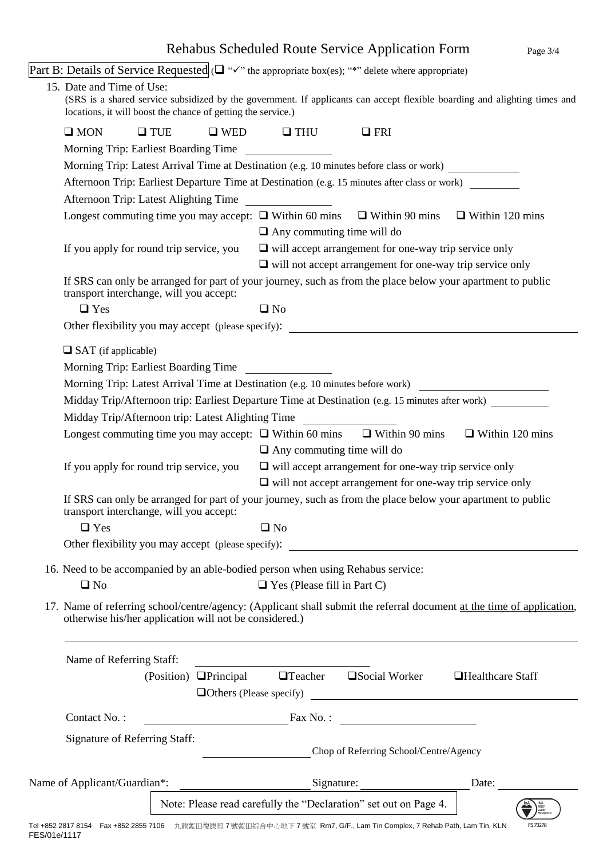|  |                                                                                                                                                                                 |                                                                                                                                                        |                                                              |                                                                  |  | Rehabus Scheduled Route Service Application Form                                                                          |                        | Page 3/4 |  |  |
|--|---------------------------------------------------------------------------------------------------------------------------------------------------------------------------------|--------------------------------------------------------------------------------------------------------------------------------------------------------|--------------------------------------------------------------|------------------------------------------------------------------|--|---------------------------------------------------------------------------------------------------------------------------|------------------------|----------|--|--|
|  | Part B: Details of Service Requested ( $\Box$ " $\checkmark$ " the appropriate box(es); "*" delete where appropriate)                                                           |                                                                                                                                                        |                                                              |                                                                  |  |                                                                                                                           |                        |          |  |  |
|  | 15. Date and Time of Use:<br>locations, it will boost the chance of getting the service.)                                                                                       |                                                                                                                                                        |                                                              |                                                                  |  | (SRS is a shared service subsidized by the government. If applicants can accept flexible boarding and alighting times and |                        |          |  |  |
|  | $\square$ MON                                                                                                                                                                   | $\Box$ TUE                                                                                                                                             |                                                              | $\Box$ WED $\Box$ THU                                            |  | $\Box$ FRI                                                                                                                |                        |          |  |  |
|  | Morning Trip: Earliest Boarding Time                                                                                                                                            |                                                                                                                                                        |                                                              |                                                                  |  |                                                                                                                           |                        |          |  |  |
|  | Morning Trip: Latest Arrival Time at Destination (e.g. 10 minutes before class or work)                                                                                         |                                                                                                                                                        |                                                              |                                                                  |  |                                                                                                                           |                        |          |  |  |
|  | Afternoon Trip: Earliest Departure Time at Destination (e.g. 15 minutes after class or work)                                                                                    |                                                                                                                                                        |                                                              |                                                                  |  |                                                                                                                           |                        |          |  |  |
|  | Afternoon Trip: Latest Alighting Time                                                                                                                                           |                                                                                                                                                        |                                                              |                                                                  |  |                                                                                                                           |                        |          |  |  |
|  | Longest commuting time you may accept: $\Box$ Within 60 mins $\Box$ Within 90 mins                                                                                              |                                                                                                                                                        |                                                              | $\Box$ Any commuting time will do                                |  |                                                                                                                           | $\Box$ Within 120 mins |          |  |  |
|  | If you apply for round trip service, you                                                                                                                                        |                                                                                                                                                        |                                                              |                                                                  |  | $\Box$ will accept arrangement for one-way trip service only                                                              |                        |          |  |  |
|  |                                                                                                                                                                                 |                                                                                                                                                        |                                                              |                                                                  |  | $\Box$ will not accept arrangement for one-way trip service only                                                          |                        |          |  |  |
|  | If SRS can only be arranged for part of your journey, such as from the place below your apartment to public<br>transport interchange, will you accept:                          |                                                                                                                                                        |                                                              |                                                                  |  |                                                                                                                           |                        |          |  |  |
|  | $\Box$ Yes                                                                                                                                                                      |                                                                                                                                                        |                                                              | $\Box$ No                                                        |  |                                                                                                                           |                        |          |  |  |
|  | Other flexibility you may accept (please specify):                                                                                                                              |                                                                                                                                                        |                                                              |                                                                  |  |                                                                                                                           |                        |          |  |  |
|  |                                                                                                                                                                                 | $\Box$ SAT (if applicable)<br>Morning Trip: Earliest Boarding Time                                                                                     |                                                              |                                                                  |  |                                                                                                                           |                        |          |  |  |
|  | Morning Trip: Latest Arrival Time at Destination (e.g. 10 minutes before work)                                                                                                  |                                                                                                                                                        |                                                              |                                                                  |  |                                                                                                                           |                        |          |  |  |
|  | Midday Trip/Afternoon trip: Earliest Departure Time at Destination (e.g. 15 minutes after work)                                                                                 |                                                                                                                                                        |                                                              |                                                                  |  |                                                                                                                           |                        |          |  |  |
|  | Midday Trip/Afternoon trip: Latest Alighting Time                                                                                                                               |                                                                                                                                                        |                                                              |                                                                  |  |                                                                                                                           |                        |          |  |  |
|  | $\Box$ Within 120 mins<br>Longest commuting time you may accept: $\Box$ Within 60 mins $\Box$ Within 90 mins                                                                    |                                                                                                                                                        |                                                              |                                                                  |  |                                                                                                                           |                        |          |  |  |
|  |                                                                                                                                                                                 |                                                                                                                                                        |                                                              | $\Box$ Any commuting time will do                                |  |                                                                                                                           |                        |          |  |  |
|  | If you apply for round trip service, you                                                                                                                                        |                                                                                                                                                        | $\Box$ will accept arrangement for one-way trip service only |                                                                  |  |                                                                                                                           |                        |          |  |  |
|  |                                                                                                                                                                                 |                                                                                                                                                        |                                                              | $\Box$ will not accept arrangement for one-way trip service only |  |                                                                                                                           |                        |          |  |  |
|  |                                                                                                                                                                                 | If SRS can only be arranged for part of your journey, such as from the place below your apartment to public<br>transport interchange, will you accept: |                                                              |                                                                  |  |                                                                                                                           |                        |          |  |  |
|  | $\Box$ Yes                                                                                                                                                                      |                                                                                                                                                        |                                                              | $\square$ No                                                     |  |                                                                                                                           |                        |          |  |  |
|  |                                                                                                                                                                                 |                                                                                                                                                        |                                                              |                                                                  |  |                                                                                                                           |                        |          |  |  |
|  | 16. Need to be accompanied by an able-bodied person when using Rehabus service:<br>$\square$ No                                                                                 |                                                                                                                                                        |                                                              | $\Box$ Yes (Please fill in Part C)                               |  |                                                                                                                           |                        |          |  |  |
|  | 17. Name of referring school/centre/agency: (Applicant shall submit the referral document at the time of application,<br>otherwise his/her application will not be considered.) |                                                                                                                                                        |                                                              |                                                                  |  |                                                                                                                           |                        |          |  |  |
|  | Name of Referring Staff:                                                                                                                                                        |                                                                                                                                                        |                                                              | <u> 1989 - Johann Barbara, martin amerikan basar da</u>          |  |                                                                                                                           |                        |          |  |  |
|  |                                                                                                                                                                                 |                                                                                                                                                        |                                                              |                                                                  |  | (Position) <b>Q</b> Principal <b>Q</b> Teacher <b>Q</b> Social Worker                                                     | □Healthcare Staff      |          |  |  |
|  | Contact No.:                                                                                                                                                                    |                                                                                                                                                        |                                                              |                                                                  |  | $\frac{1}{2}$ Fax No. :                                                                                                   |                        |          |  |  |
|  | <b>Signature of Referring Staff:</b>                                                                                                                                            |                                                                                                                                                        |                                                              |                                                                  |  | Chop of Referring School/Centre/Agency                                                                                    |                        |          |  |  |
|  |                                                                                                                                                                                 |                                                                                                                                                        |                                                              |                                                                  |  |                                                                                                                           | Date:                  |          |  |  |
|  |                                                                                                                                                                                 |                                                                                                                                                        |                                                              |                                                                  |  | Note: Please read carefully the "Declaration" set out on Page 4.                                                          |                        |          |  |  |

FS 73278